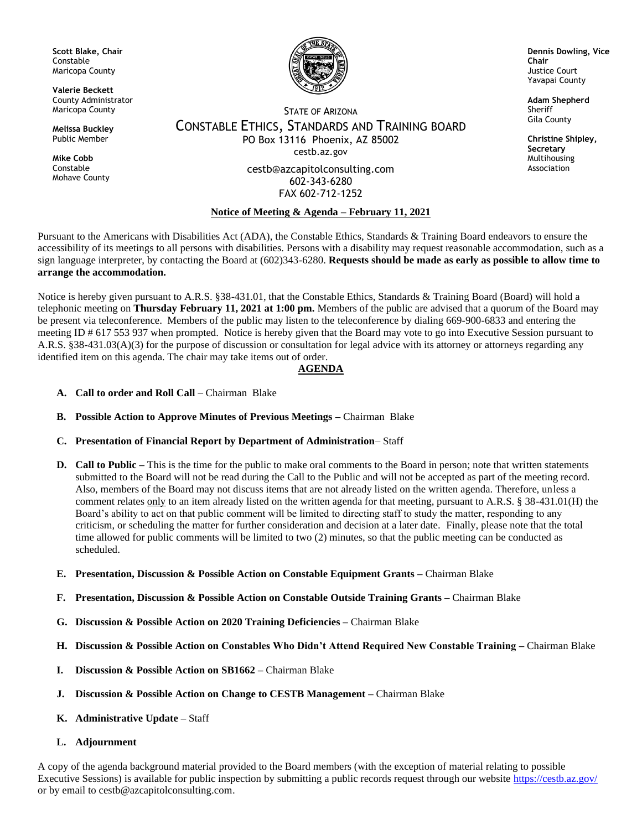**Scott Blake, Chair** Constable Maricopa County

**Valerie Beckett** County Administrator Maricopa County

**Melissa Buckley** Public Member

**Mike Cobb** Constable Mohave County



**Dennis Dowling, Vice Chair** Justice Court Yavapai County

**Adam Shepherd** Sheriff Gila County

**Christine Shipley, Secretary** Multihousing Association

STATE OF ARIZONA CONSTABLE ETHICS, STANDARDS AND TRAINING BOARD PO Box 13116 Phoenix, AZ 85002 cestb.az.gov

> cestb@azcapitolconsulting.com 602-343-6280 FAX 602-712-1252

## **Notice of Meeting & Agenda – February 11, 2021**

Pursuant to the Americans with Disabilities Act (ADA), the Constable Ethics, Standards & Training Board endeavors to ensure the accessibility of its meetings to all persons with disabilities. Persons with a disability may request reasonable accommodation, such as a sign language interpreter, by contacting the Board at (602)343-6280. **Requests should be made as early as possible to allow time to arrange the accommodation.**

Notice is hereby given pursuant to A.R.S. §38-431.01, that the Constable Ethics, Standards & Training Board (Board) will hold a telephonic meeting on **Thursday February 11, 2021 at 1:00 pm.** Members of the public are advised that a quorum of the Board may be present via teleconference. Members of the public may listen to the teleconference by dialing 669-900-6833 and entering the meeting ID # 617 553 937 when prompted. Notice is hereby given that the Board may vote to go into Executive Session pursuant to A.R.S. §38-431.03(A)(3) for the purpose of discussion or consultation for legal advice with its attorney or attorneys regarding any identified item on this agenda. The chair may take items out of order.

## **AGENDA**

- **A. Call to order and Roll Call** Chairman Blake
- **B. Possible Action to Approve Minutes of Previous Meetings –** Chairman Blake
- **C. Presentation of Financial Report by Department of Administration** Staff
- **D. Call to Public –** This is the time for the public to make oral comments to the Board in person; note that written statements submitted to the Board will not be read during the Call to the Public and will not be accepted as part of the meeting record. Also, members of the Board may not discuss items that are not already listed on the written agenda. Therefore, unless a comment relates only to an item already listed on the written agenda for that meeting, pursuant to A.R.S. § 38-431.01(H) the Board's ability to act on that public comment will be limited to directing staff to study the matter, responding to any criticism, or scheduling the matter for further consideration and decision at a later date. Finally, please note that the total time allowed for public comments will be limited to two (2) minutes, so that the public meeting can be conducted as scheduled.
- **E. Presentation, Discussion & Possible Action on Constable Equipment Grants –** Chairman Blake
- **F. Presentation, Discussion & Possible Action on Constable Outside Training Grants –** Chairman Blake
- **G. Discussion & Possible Action on 2020 Training Deficiencies –** Chairman Blake
- **H. Discussion & Possible Action on Constables Who Didn't Attend Required New Constable Training –** Chairman Blake
- **I. Discussion & Possible Action on SB1662 –** Chairman Blake
- **J. Discussion & Possible Action on Change to CESTB Management –** Chairman Blake
- **K. Administrative Update –** Staff
- **L. Adjournment**

A copy of the agenda background material provided to the Board members (with the exception of material relating to possible Executive Sessions) is available for public inspection by submitting a public records request through our website<https://cestb.az.gov/> or by email to cestb@azcapitolconsulting.com.